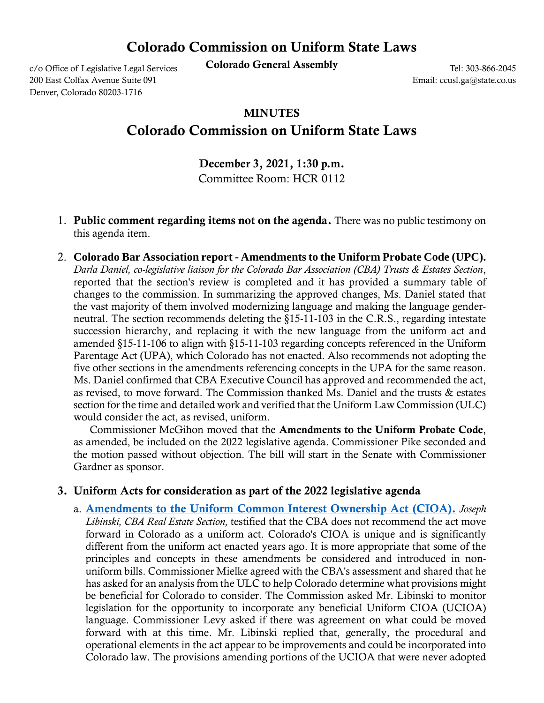## Colorado Commission on Uniform State Laws

c/o Office of Legislative Legal Services **Colorado General Assembly** 

200 East Colfax Avenue Suite 091 Denver, Colorado 80203-1716

Tel: 303-866-2045 Email: ccusl.ga@state.co.us

## MINUTES

## Colorado Commission on Uniform State Laws

December 3, 2021, 1:30 p.m. Committee Room: HCR 0112

- 1. Public comment regarding items not on the agenda. There was no public testimony on this agenda item.
- 2. **Colorado Bar Association report - Amendments to the Uniform Probate Code (UPC).** *Darla Daniel, co-legislative liaison for the Colorado Bar Association (CBA) Trusts & Estates Section*, reported that the section's review is completed and it has provided a summary table of changes to the commission. In summarizing the approved changes, Ms. Daniel stated that the vast majority of them involved modernizing language and making the language genderneutral. The section recommends deleting the §15-11-103 in the C.R.S., regarding intestate succession hierarchy, and replacing it with the new language from the uniform act and amended §15-11-106 to align with §15-11-103 regarding concepts referenced in the Uniform Parentage Act (UPA), which Colorado has not enacted. Also recommends not adopting the five other sections in the amendments referencing concepts in the UPA for the same reason. Ms. Daniel confirmed that CBA Executive Council has approved and recommended the act, as revised, to move forward. The Commission thanked Ms. Daniel and the trusts & estates section for the time and detailed work and verified that the Uniform Law Commission (ULC) would consider the act, as revised, uniform.

 Commissioner McGihon moved that the Amendments to the Uniform Probate Code, as amended, be included on the 2022 legislative agenda. Commissioner Pike seconded and the motion passed without objection. The bill will start in the Senate with Commissioner Gardner as sponsor.

## 3. Uniform Acts for consideration as part of the 2022 legislative agenda

a. [Amendments to the Uniform Common Interest Ownership Act](https://coleg.box.com/s/rvpxzog1js256yhq7sgu8q97mv7tmobz) (CIOA). *Joseph Libinski, CBA Real Estate Section,* testified that the CBA does not recommend the act move forward in Colorado as a uniform act. Colorado's CIOA is unique and is significantly different from the uniform act enacted years ago. It is more appropriate that some of the principles and concepts in these amendments be considered and introduced in nonuniform bills. Commissioner Mielke agreed with the CBA's assessment and shared that he has asked for an analysis from the ULC to help Colorado determine what provisions might be beneficial for Colorado to consider. The Commission asked Mr. Libinski to monitor legislation for the opportunity to incorporate any beneficial Uniform CIOA (UCIOA) language. Commissioner Levy asked if there was agreement on what could be moved forward with at this time. Mr. Libinski replied that, generally, the procedural and operational elements in the act appear to be improvements and could be incorporated into Colorado law. The provisions amending portions of the UCIOA that were never adopted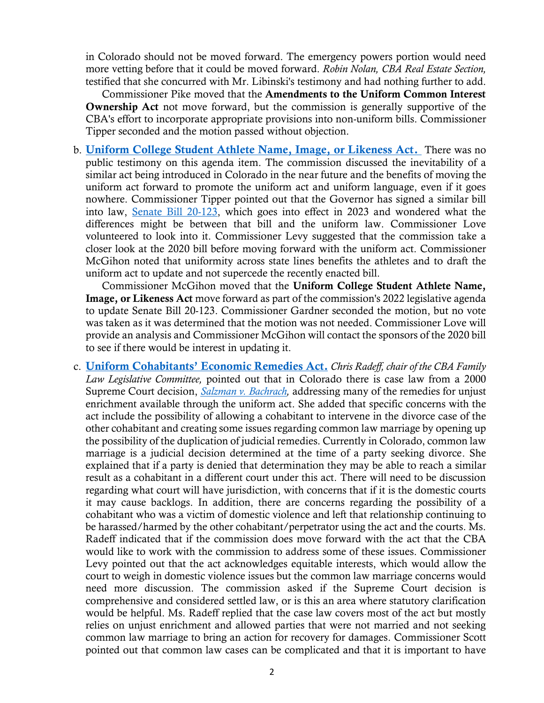in Colorado should not be moved forward. The emergency powers portion would need more vetting before that it could be moved forward. *Robin Nolan, CBA Real Estate Section,* testified that she concurred with Mr. Libinski's testimony and had nothing further to add.

 Commissioner Pike moved that the Amendments to the Uniform Common Interest Ownership Act not move forward, but the commission is generally supportive of the CBA's effort to incorporate appropriate provisions into non-uniform bills. Commissioner Tipper seconded and the motion passed without objection.

b. [Uniform College Student Athlete Name, Image, or Likeness Act.](https://coleg.box.com/s/5u5grzbtjmjtycmcagculc71zwqyi641) There was no public testimony on this agenda item. The commission discussed the inevitability of a similar act being introduced in Colorado in the near future and the benefits of moving the uniform act forward to promote the uniform act and uniform language, even if it goes nowhere. Commissioner Tipper pointed out that the Governor has signed a similar bill into law, [Senate Bill 20-123,](http://leg.colorado.gov/bills/sb20-123) which goes into effect in 2023 and wondered what the differences might be between that bill and the uniform law. Commissioner Love volunteered to look into it. Commissioner Levy suggested that the commission take a closer look at the 2020 bill before moving forward with the uniform act. Commissioner McGihon noted that uniformity across state lines benefits the athletes and to draft the uniform act to update and not supercede the recently enacted bill.

 Commissioner McGihon moved that the Uniform College Student Athlete Name, Image, or Likeness Act move forward as part of the commission's 2022 legislative agenda to update Senate Bill 20-123. Commissioner Gardner seconded the motion, but no vote was taken as it was determined that the motion was not needed. Commissioner Love will provide an analysis and Commissioner McGihon will contact the sponsors of the 2020 bill to see if there would be interest in updating it.

c. Uniform [Cohabitants' Economic Remedies](https://coleg.box.com/s/z68shikggxz4hxpztm6nkrti3h48agwp) Act. *Chris Radeff, chair of the CBA Family Law Legislative Committee,* pointed out that in Colorado there is case law from a 2000 Supreme Court decision, *[Salzman v. Bachrach,](https://law.justia.com/cases/colorado/supreme-court/2000/99sc166-0.html)* addressing many of the remedies for unjust enrichment available through the uniform act. She added that specific concerns with the act include the possibility of allowing a cohabitant to intervene in the divorce case of the other cohabitant and creating some issues regarding common law marriage by opening up the possibility of the duplication of judicial remedies. Currently in Colorado, common law marriage is a judicial decision determined at the time of a party seeking divorce. She explained that if a party is denied that determination they may be able to reach a similar result as a cohabitant in a different court under this act. There will need to be discussion regarding what court will have jurisdiction, with concerns that if it is the domestic courts it may cause backlogs. In addition, there are concerns regarding the possibility of a cohabitant who was a victim of domestic violence and left that relationship continuing to be harassed/harmed by the other cohabitant/perpetrator using the act and the courts. Ms. Radeff indicated that if the commission does move forward with the act that the CBA would like to work with the commission to address some of these issues. Commissioner Levy pointed out that the act acknowledges equitable interests, which would allow the court to weigh in domestic violence issues but the common law marriage concerns would need more discussion. The commission asked if the Supreme Court decision is comprehensive and considered settled law, or is this an area where statutory clarification would be helpful. Ms. Radeff replied that the case law covers most of the act but mostly relies on unjust enrichment and allowed parties that were not married and not seeking common law marriage to bring an action for recovery for damages. Commissioner Scott pointed out that common law cases can be complicated and that it is important to have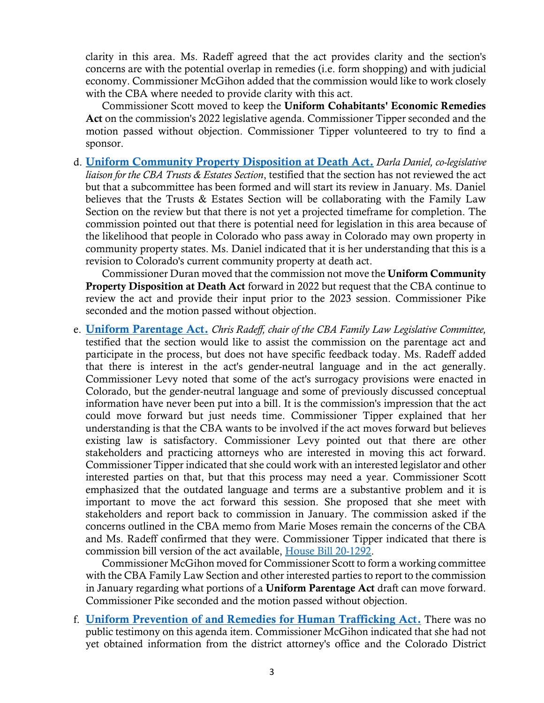clarity in this area. Ms. Radeff agreed that the act provides clarity and the section's concerns are with the potential overlap in remedies (i.e. form shopping) and with judicial economy. Commissioner McGihon added that the commission would like to work closely with the CBA where needed to provide clarity with this act.

 Commissioner Scott moved to keep the Uniform Cohabitants' Economic Remedies Act on the commission's 2022 legislative agenda. Commissioner Tipper seconded and the motion passed without objection. Commissioner Tipper volunteered to try to find a sponsor.

d. [Uniform Community Property Disposition at Death](https://coleg.box.com/s/x1jw3carms0aywpsrrxk80rmwgd8qdt7) Act. *Darla Daniel, co-legislative liaison for the CBA Trusts & Estates Section*, testified that the section has not reviewed the act but that a subcommittee has been formed and will start its review in January. Ms. Daniel believes that the Trusts & Estates Section will be collaborating with the Family Law Section on the review but that there is not yet a projected timeframe for completion. The commission pointed out that there is potential need for legislation in this area because of the likelihood that people in Colorado who pass away in Colorado may own property in community property states. Ms. Daniel indicated that it is her understanding that this is a revision to Colorado's current community property at death act.

 Commissioner Duran moved that the commission not move the Uniform Community Property Disposition at Death Act forward in 2022 but request that the CBA continue to review the act and provide their input prior to the 2023 session. Commissioner Pike seconded and the motion passed without objection.

e. [Uniform Parentage Act.](https://coleg.box.com/s/qu3lvmigvzu55epins6cmv32oabsu3l6) *Chris Radeff, chair of the CBA Family Law Legislative Committee,* testified that the section would like to assist the commission on the parentage act and participate in the process, but does not have specific feedback today. Ms. Radeff added that there is interest in the act's gender-neutral language and in the act generally. Commissioner Levy noted that some of the act's surrogacy provisions were enacted in Colorado, but the gender-neutral language and some of previously discussed conceptual information have never been put into a bill. It is the commission's impression that the act could move forward but just needs time. Commissioner Tipper explained that her understanding is that the CBA wants to be involved if the act moves forward but believes existing law is satisfactory. Commissioner Levy pointed out that there are other stakeholders and practicing attorneys who are interested in moving this act forward. Commissioner Tipper indicated that she could work with an interested legislator and other interested parties on that, but that this process may need a year. Commissioner Scott emphasized that the outdated language and terms are a substantive problem and it is important to move the act forward this session. She proposed that she meet with stakeholders and report back to commission in January. The commission asked if the concerns outlined in the CBA memo from Marie Moses remain the concerns of the CBA and Ms. Radeff confirmed that they were. Commissioner Tipper indicated that there is commission bill version of the act available, [House Bill 20-1292.](http://leg.colorado.gov/bills/hb20-1292)

 Commissioner McGihon moved for Commissioner Scott to form a working committee with the CBA Family Law Section and other interested parties to report to the commission in January regarding what portions of a Uniform Parentage Act draft can move forward. Commissioner Pike seconded and the motion passed without objection.

f. [Uniform Prevention of and Remedies for Human Trafficking Act.](https://coleg.box.com/s/s792s7yxq36hw7dr1s6es81002mohccd) There was no public testimony on this agenda item. Commissioner McGihon indicated that she had not yet obtained information from the district attorney's office and the Colorado District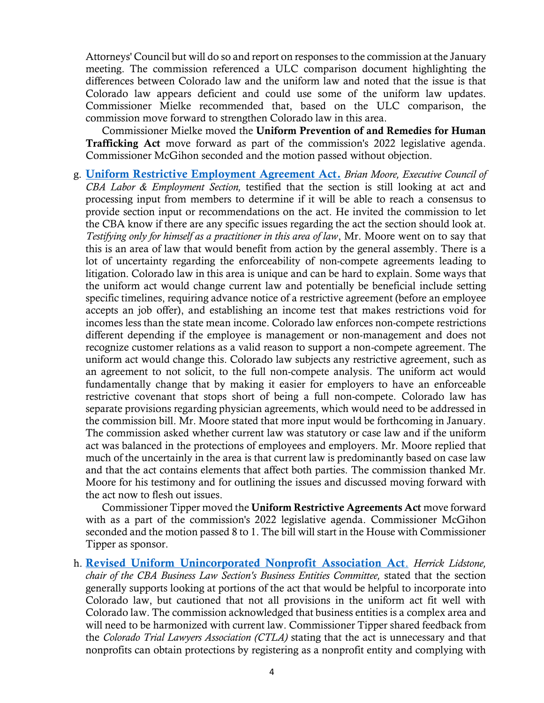Attorneys' Council but will do so and report on responses to the commission at the January meeting. The commission referenced a ULC comparison document highlighting the differences between Colorado law and the uniform law and noted that the issue is that Colorado law appears deficient and could use some of the uniform law updates. Commissioner Mielke recommended that, based on the ULC comparison, the commission move forward to strengthen Colorado law in this area.

 Commissioner Mielke moved the Uniform Prevention of and Remedies for Human Trafficking Act move forward as part of the commission's 2022 legislative agenda. Commissioner McGihon seconded and the motion passed without objection.

g. [Uniform Restrictive Employment Agreement Act.](https://coleg.box.com/s/x36khu9of0mx7ytm6svdhno6yplyde7m) *Brian Moore, Executive Council of CBA Labor & Employment Section,* testified that the section is still looking at act and processing input from members to determine if it will be able to reach a consensus to provide section input or recommendations on the act. He invited the commission to let the CBA know if there are any specific issues regarding the act the section should look at. *Testifying only for himself as a practitioner in this area of law*, Mr. Moore went on to say that this is an area of law that would benefit from action by the general assembly. There is a lot of uncertainty regarding the enforceability of non-compete agreements leading to litigation. Colorado law in this area is unique and can be hard to explain. Some ways that the uniform act would change current law and potentially be beneficial include setting specific timelines, requiring advance notice of a restrictive agreement (before an employee accepts an job offer), and establishing an income test that makes restrictions void for incomes less than the state mean income. Colorado law enforces non-compete restrictions different depending if the employee is management or non-management and does not recognize customer relations as a valid reason to support a non-compete agreement. The uniform act would change this. Colorado law subjects any restrictive agreement, such as an agreement to not solicit, to the full non-compete analysis. The uniform act would fundamentally change that by making it easier for employers to have an enforceable restrictive covenant that stops short of being a full non-compete. Colorado law has separate provisions regarding physician agreements, which would need to be addressed in the commission bill. Mr. Moore stated that more input would be forthcoming in January. The commission asked whether current law was statutory or case law and if the uniform act was balanced in the protections of employees and employers. Mr. Moore replied that much of the uncertainly in the area is that current law is predominantly based on case law and that the act contains elements that affect both parties. The commission thanked Mr. Moore for his testimony and for outlining the issues and discussed moving forward with the act now to flesh out issues.

 Commissioner Tipper moved the Uniform Restrictive Agreements Act move forward with as a part of the commission's 2022 legislative agenda. Commissioner McGihon seconded and the motion passed 8 to 1. The bill will start in the House with Commissioner Tipper as sponsor.

h. [Revised Uniform Unincorporated Nonprofit Association Act](https://coleg.box.com/s/15aeuoju81rjjk296jdh1rqi65pf9t7e). *Herrick Lidstone, chair of the CBA Business Law Section's Business Entities Committee,* stated that the section generally supports looking at portions of the act that would be helpful to incorporate into Colorado law, but cautioned that not all provisions in the uniform act fit well with Colorado law. The commission acknowledged that business entities is a complex area and will need to be harmonized with current law. Commissioner Tipper shared feedback from the *Colorado Trial Lawyers Association (CTLA)* stating that the act is unnecessary and that nonprofits can obtain protections by registering as a nonprofit entity and complying with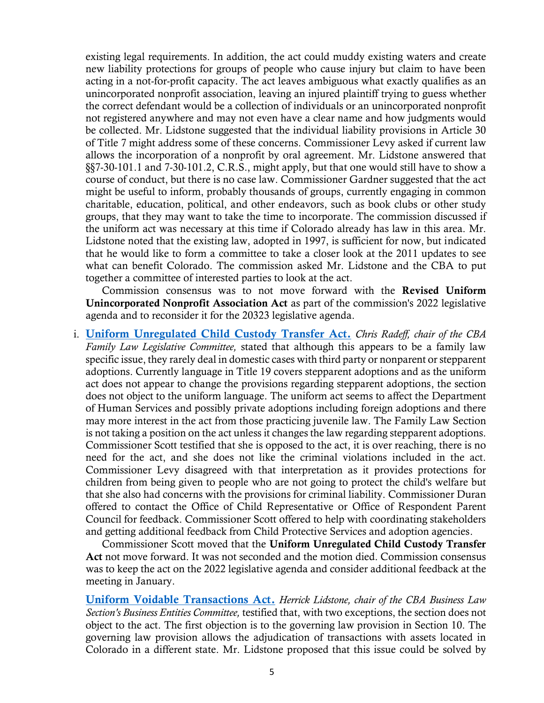existing legal requirements. In addition, the act could muddy existing waters and create new liability protections for groups of people who cause injury but claim to have been acting in a not-for-profit capacity. The act leaves ambiguous what exactly qualifies as an unincorporated nonprofit association, leaving an injured plaintiff trying to guess whether the correct defendant would be a collection of individuals or an unincorporated nonprofit not registered anywhere and may not even have a clear name and how judgments would be collected. Mr. Lidstone suggested that the individual liability provisions in Article 30 of Title 7 might address some of these concerns. Commissioner Levy asked if current law allows the incorporation of a nonprofit by oral agreement. Mr. Lidstone answered that §§7-30-101.1 and 7-30-101.2, C.R.S., might apply, but that one would still have to show a course of conduct, but there is no case law. Commissioner Gardner suggested that the act might be useful to inform, probably thousands of groups, currently engaging in common charitable, education, political, and other endeavors, such as book clubs or other study groups, that they may want to take the time to incorporate. The commission discussed if the uniform act was necessary at this time if Colorado already has law in this area. Mr. Lidstone noted that the existing law, adopted in 1997, is sufficient for now, but indicated that he would like to form a committee to take a closer look at the 2011 updates to see what can benefit Colorado. The commission asked Mr. Lidstone and the CBA to put together a committee of interested parties to look at the act.

 Commission consensus was to not move forward with the Revised Uniform Unincorporated Nonprofit Association Act as part of the commission's 2022 legislative agenda and to reconsider it for the 20323 legislative agenda.

i. [Uniform Unregulated Child Custody Transfer Act.](https://coleg.box.com/s/47al0fa4a3nvkwh6mwra2rh0k0z0d2wi) *Chris Radeff, chair of the CBA Family Law Legislative Committee,* stated that although this appears to be a family law specific issue, they rarely deal in domestic cases with third party or nonparent or stepparent adoptions. Currently language in Title 19 covers stepparent adoptions and as the uniform act does not appear to change the provisions regarding stepparent adoptions, the section does not object to the uniform language. The uniform act seems to affect the Department of Human Services and possibly private adoptions including foreign adoptions and there may more interest in the act from those practicing juvenile law. The Family Law Section is not taking a position on the act unless it changes the law regarding stepparent adoptions. Commissioner Scott testified that she is opposed to the act, it is over reaching, there is no need for the act, and she does not like the criminal violations included in the act. Commissioner Levy disagreed with that interpretation as it provides protections for children from being given to people who are not going to protect the child's welfare but that she also had concerns with the provisions for criminal liability. Commissioner Duran offered to contact the Office of Child Representative or Office of Respondent Parent Council for feedback. Commissioner Scott offered to help with coordinating stakeholders and getting additional feedback from Child Protective Services and adoption agencies.

 Commissioner Scott moved that the Uniform Unregulated Child Custody Transfer Act not move forward. It was not seconded and the motion died. Commission consensus was to keep the act on the 2022 legislative agenda and consider additional feedback at the meeting in January.

[Uniform Voidable Transactions Act.](https://coleg.box.com/s/kt3ots8i52c8gefn9edqw1slue8cwm6n) *Herrick Lidstone, chair of the CBA Business Law Section's Business Entities Committee,* testified that, with two exceptions, the section does not object to the act. The first objection is to the governing law provision in Section 10. The governing law provision allows the adjudication of transactions with assets located in Colorado in a different state. Mr. Lidstone proposed that this issue could be solved by